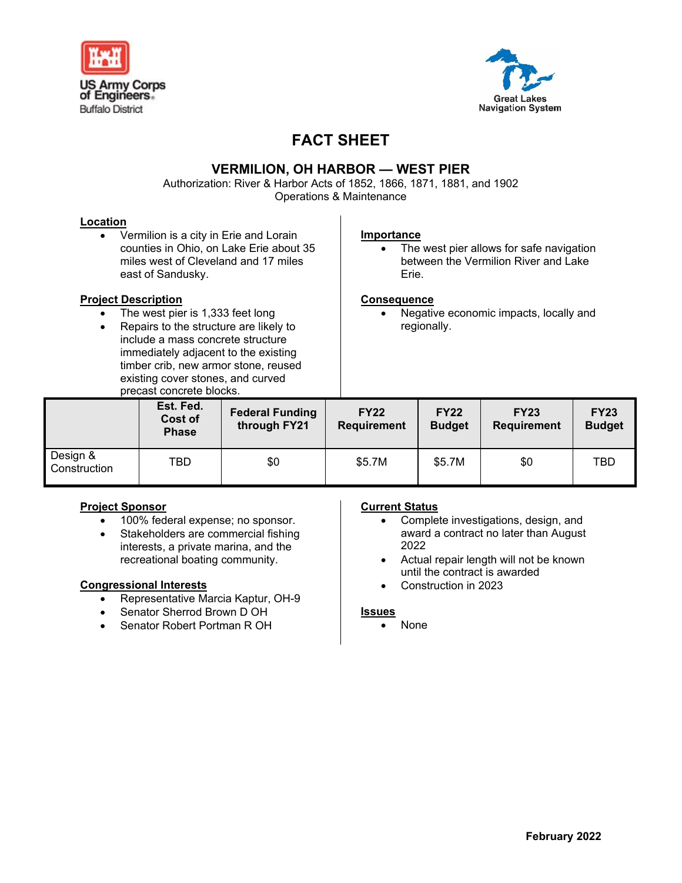



# **FACT SHEET**

## **VERMILION, OH HARBOR — WEST PIER**

Authorization: River & Harbor Acts of 1852, 1866, 1871, 1881, and 1902 Operations & Maintenance

#### **Location**

• Vermilion is a city in Erie and Lorain counties in Ohio, on Lake Erie about 35 miles west of Cleveland and 17 miles east of Sandusky.

#### **Project Description**

- The west pier is 1,333 feet long
- Repairs to the structure are likely to include a mass concrete structure immediately adjacent to the existing timber crib, new armor stone, reused existing cover stones, and curved precast concrete blocks.

#### **Importance**

• The west pier allows for safe navigation between the Vermilion River and Lake Erie.

#### **Consequence**

• Negative economic impacts, locally and regionally.

|                          | Est. Fed.<br>Cost of<br><b>Phase</b> | <b>Federal Funding</b><br>through FY21 | <b>FY22</b><br>Requirement | <b>FY22</b><br><b>Budget</b> | <b>FY23</b><br><b>Requirement</b> | <b>FY23</b><br><b>Budget</b> |  |
|--------------------------|--------------------------------------|----------------------------------------|----------------------------|------------------------------|-----------------------------------|------------------------------|--|
| Design &<br>Construction | TBD                                  | \$0                                    | \$5.7M                     | \$5.7M                       | \$0                               | TBD                          |  |

### **Project Sponsor**

- 100% federal expense; no sponsor.
- Stakeholders are commercial fishing interests, a private marina, and the recreational boating community.

#### **Congressional Interests**

- Representative Marcia Kaptur, OH-9
- Senator Sherrod Brown D OH
- Senator Robert Portman R OH

#### **Current Status**

- Complete investigations, design, and award a contract no later than August 2022
- Actual repair length will not be known until the contract is awarded
- Construction in 2023

#### **Issues**

• None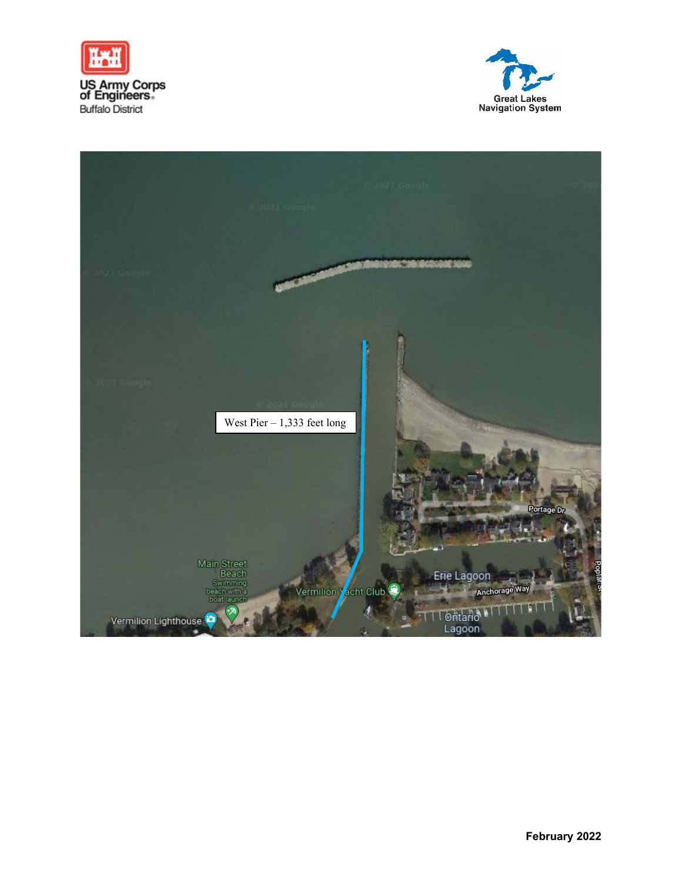



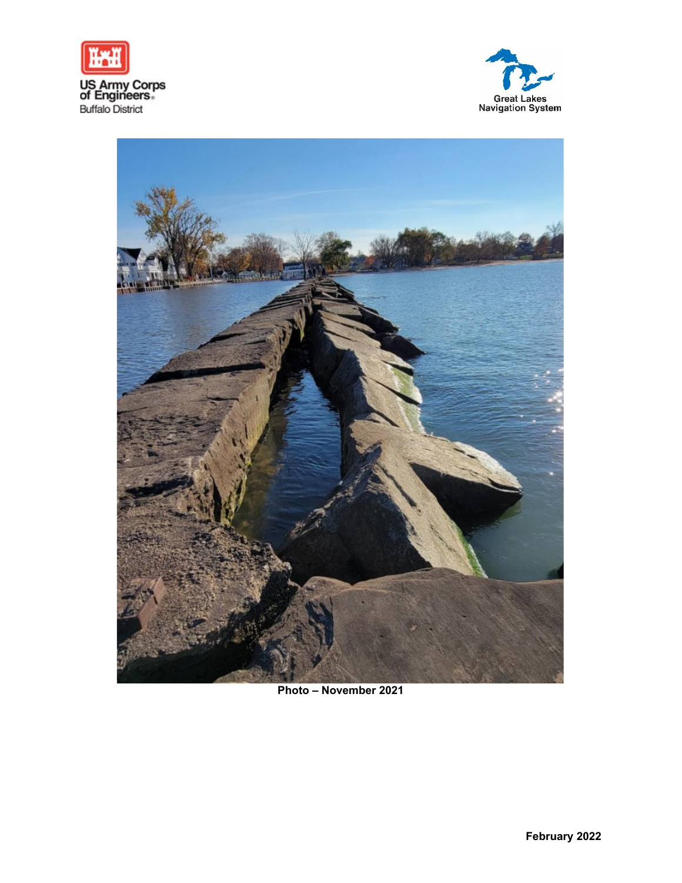





**Photo – November 2021**